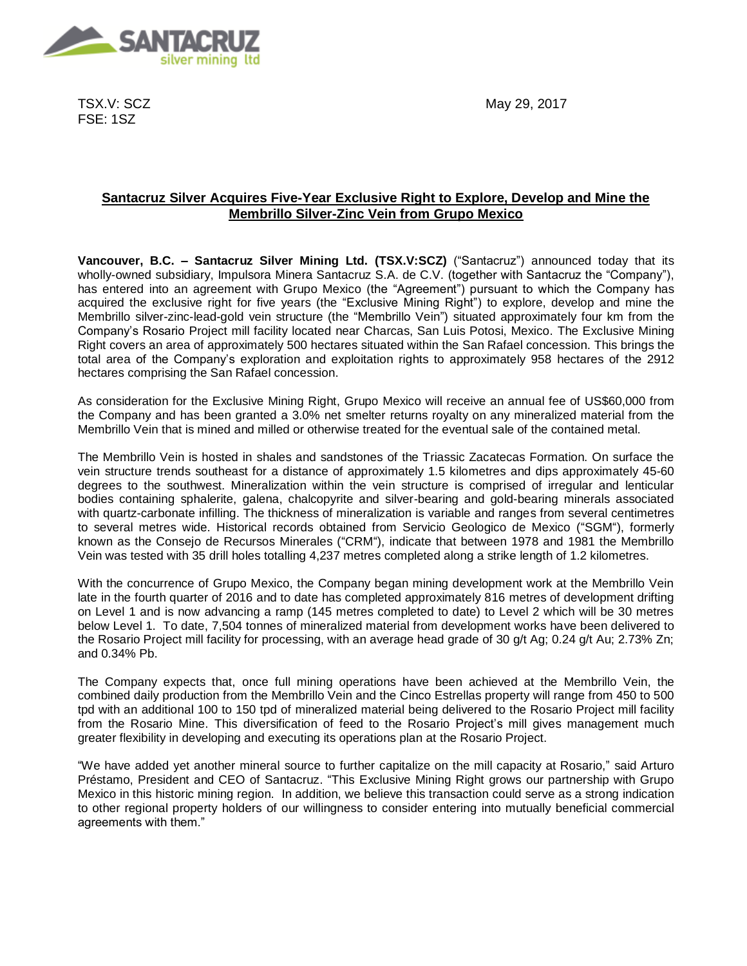

TSX.V: SCZ FSE: 1SZ

May 29, 2017

# **Santacruz Silver Acquires Five-Year Exclusive Right to Explore, Develop and Mine the Membrillo Silver-Zinc Vein from Grupo Mexico**

**Vancouver, B.C. – Santacruz Silver Mining Ltd. (TSX.V:SCZ)** ("Santacruz") announced today that its wholly-owned subsidiary, Impulsora Minera Santacruz S.A. de C.V. (together with Santacruz the "Company"), has entered into an agreement with Grupo Mexico (the "Agreement") pursuant to which the Company has acquired the exclusive right for five years (the "Exclusive Mining Right") to explore, develop and mine the Membrillo silver-zinc-lead-gold vein structure (the "Membrillo Vein") situated approximately four km from the Company's Rosario Project mill facility located near Charcas, San Luis Potosi, Mexico. The Exclusive Mining Right covers an area of approximately 500 hectares situated within the San Rafael concession. This brings the total area of the Company's exploration and exploitation rights to approximately 958 hectares of the 2912 hectares comprising the San Rafael concession.

As consideration for the Exclusive Mining Right, Grupo Mexico will receive an annual fee of US\$60,000 from the Company and has been granted a 3.0% net smelter returns royalty on any mineralized material from the Membrillo Vein that is mined and milled or otherwise treated for the eventual sale of the contained metal.

The Membrillo Vein is hosted in shales and sandstones of the Triassic Zacatecas Formation. On surface the vein structure trends southeast for a distance of approximately 1.5 kilometres and dips approximately 45-60 degrees to the southwest. Mineralization within the vein structure is comprised of irregular and lenticular bodies containing sphalerite, galena, chalcopyrite and silver-bearing and gold-bearing minerals associated with quartz-carbonate infilling. The thickness of mineralization is variable and ranges from several centimetres to several metres wide. Historical records obtained from Servicio Geologico de Mexico ("SGM"), formerly known as the Consejo de Recursos Minerales ("CRM"), indicate that between 1978 and 1981 the Membrillo Vein was tested with 35 drill holes totalling 4,237 metres completed along a strike length of 1.2 kilometres.

With the concurrence of Grupo Mexico, the Company began mining development work at the Membrillo Vein late in the fourth quarter of 2016 and to date has completed approximately 816 metres of development drifting on Level 1 and is now advancing a ramp (145 metres completed to date) to Level 2 which will be 30 metres below Level 1. To date, 7,504 tonnes of mineralized material from development works have been delivered to the Rosario Project mill facility for processing, with an average head grade of 30 g/t Ag; 0.24 g/t Au; 2.73% Zn; and 0.34% Pb.

The Company expects that, once full mining operations have been achieved at the Membrillo Vein, the combined daily production from the Membrillo Vein and the Cinco Estrellas property will range from 450 to 500 tpd with an additional 100 to 150 tpd of mineralized material being delivered to the Rosario Project mill facility from the Rosario Mine. This diversification of feed to the Rosario Project's mill gives management much greater flexibility in developing and executing its operations plan at the Rosario Project.

"We have added yet another mineral source to further capitalize on the mill capacity at Rosario," said Arturo Préstamo, President and CEO of Santacruz. "This Exclusive Mining Right grows our partnership with Grupo Mexico in this historic mining region. In addition, we believe this transaction could serve as a strong indication to other regional property holders of our willingness to consider entering into mutually beneficial commercial agreements with them."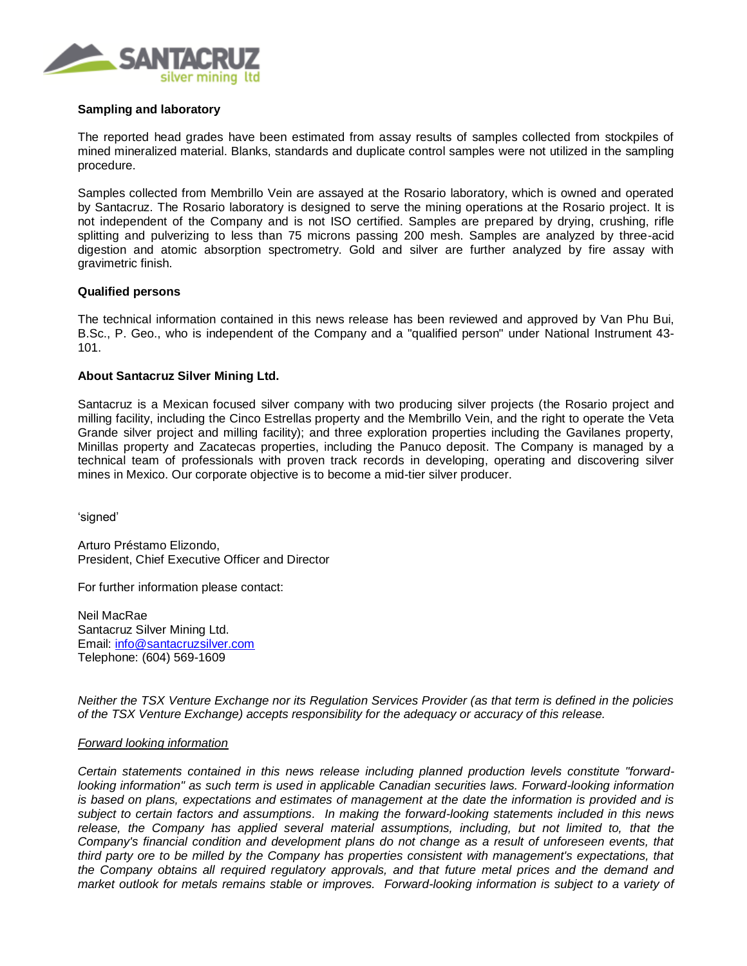

### **Sampling and laboratory**

The reported head grades have been estimated from assay results of samples collected from stockpiles of mined mineralized material. Blanks, standards and duplicate control samples were not utilized in the sampling procedure.

Samples collected from Membrillo Vein are assayed at the Rosario laboratory, which is owned and operated by Santacruz. The Rosario laboratory is designed to serve the mining operations at the Rosario project. It is not independent of the Company and is not ISO certified. Samples are prepared by drying, crushing, rifle splitting and pulverizing to less than 75 microns passing 200 mesh. Samples are analyzed by three-acid digestion and atomic absorption spectrometry. Gold and silver are further analyzed by fire assay with gravimetric finish.

## **Qualified persons**

The technical information contained in this news release has been reviewed and approved by Van Phu Bui, B.Sc., P. Geo., who is independent of the Company and a "qualified person" under National Instrument 43- 101.

# **About Santacruz Silver Mining Ltd.**

Santacruz is a Mexican focused silver company with two producing silver projects (the Rosario project and milling facility, including the Cinco Estrellas property and the Membrillo Vein, and the right to operate the Veta Grande silver project and milling facility); and three exploration properties including the Gavilanes property, Minillas property and Zacatecas properties, including the Panuco deposit. The Company is managed by a technical team of professionals with proven track records in developing, operating and discovering silver mines in Mexico. Our corporate objective is to become a mid-tier silver producer.

'signed'

Arturo Préstamo Elizondo, President, Chief Executive Officer and Director

For further information please contact:

Neil MacRae Santacruz Silver Mining Ltd. Email: [info@santacruzsilver.com](mailto:infonmacrae@santacruzsilver.com) Telephone: (604) 569-1609

*Neither the TSX Venture Exchange nor its Regulation Services Provider (as that term is defined in the policies of the TSX Venture Exchange) accepts responsibility for the adequacy or accuracy of this release.* 

### *Forward looking information*

*Certain statements contained in this news release including planned production levels constitute "forwardlooking information" as such term is used in applicable Canadian securities laws. Forward-looking information is based on plans, expectations and estimates of management at the date the information is provided and is subject to certain factors and assumptions. In making the forward-looking statements included in this news*  release, the Company has applied several material assumptions, including, but not limited to, that the *Company's financial condition and development plans do not change as a result of unforeseen events, that third party ore to be milled by the Company has properties consistent with management's expectations, that the Company obtains all required regulatory approvals, and that future metal prices and the demand and market outlook for metals remains stable or improves. Forward-looking information is subject to a variety of*